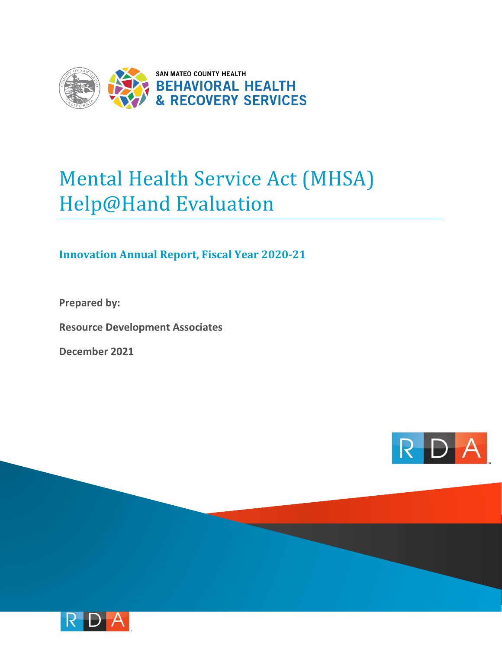

## Mental Health Service Act (MHSA) Help@Hand Evaluation

## **Innovation Annual Report, Fiscal Year 2020-21**

**Prepared by:** 

**Resource Development Associates** 

December 2021



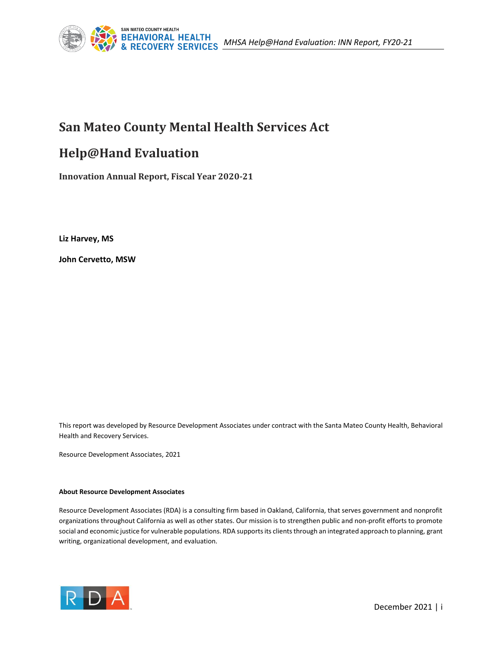

## **San Mateo County Mental Health Services Act**

## **Help@Hand Evaluation**

**Innovation Annual Report, Fiscal Year 2020-21**

**Liz Harvey, MS**

**John Cervetto, MSW**

This report was developed by Resource Development Associates under contract with the Santa Mateo County Health, Behavioral Health and Recovery Services.

Resource Development Associates, 2021

#### **About Resource Development Associates**

Resource Development Associates (RDA) is a consulting firm based in Oakland, California, that serves government and nonprofit organizations throughout California as well as other states. Our mission is to strengthen public and non-profit efforts to promote social and economic justice for vulnerable populations. RDA supports its clients through an integrated approach to planning, grant writing, organizational development, and evaluation.

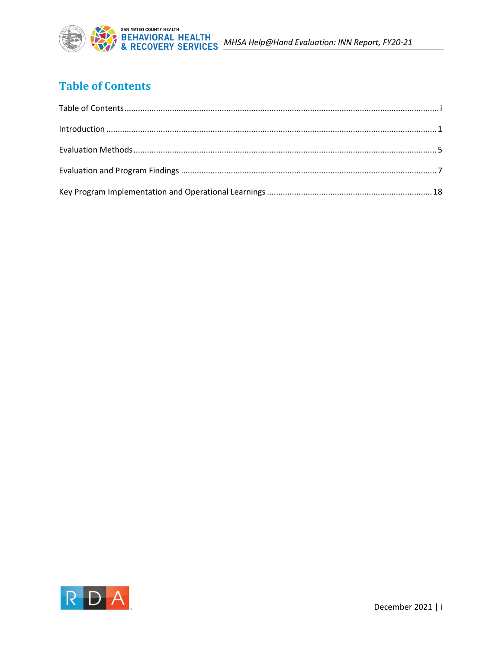

## <span id="page-2-0"></span>**Table of Contents**

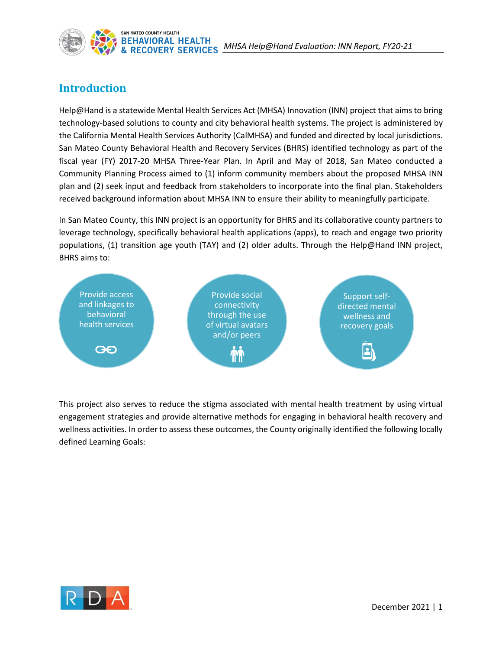

## <span id="page-3-0"></span>**Introduction**

Help@Hand is a statewide Mental Health Services Act (MHSA) Innovation (INN) project that aims to bring technology-based solutions to county and city behavioral health systems. The project is administered by the California Mental Health Services Authority (CalMHSA) and funded and directed by local jurisdictions. San Mateo County Behavioral Health and Recovery Services (BHRS) identified technology as part of the fiscal year (FY) 2017-20 MHSA Three-Year Plan. In April and May of 2018, San Mateo conducted a Community Planning Process aimed to (1) inform community members about the proposed MHSA INN plan and (2) seek input and feedback from stakeholders to incorporate into the final plan. Stakeholders received background information about MHSA INN to ensure their ability to meaningfully participate.

In San Mateo County, this INN project is an opportunity for BHRS and its collaborative county partners to leverage technology, specifically behavioral health applications (apps), to reach and engage two priority populations, (1) transition age youth (TAY) and (2) older adults. Through the Help@Hand INN project, BHRS aims to:



This project also serves to reduce the stigma associated with mental health treatment by using virtual engagement strategies and provide alternative methods for engaging in behavioral health recovery and wellness activities. In order to assess these outcomes, the County originally identified the following locally defined Learning Goals:

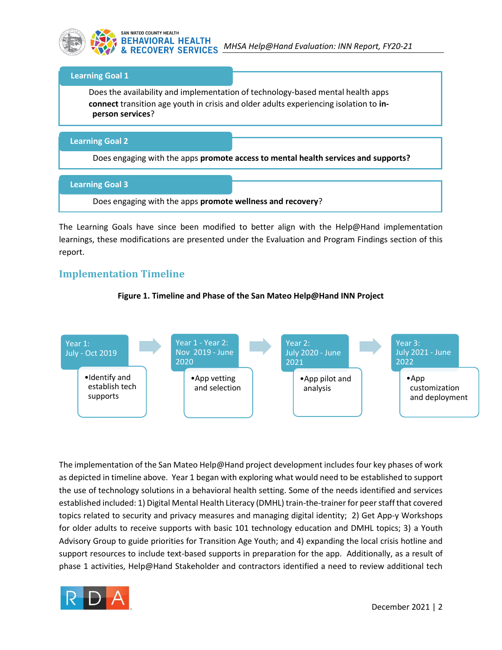

#### **Learning Goal 1**

Does the availability and implementation of technology-based mental health apps **connect** transition age youth in crisis and older adults experiencing isolation to **inperson services**?

#### **Learning Goal 2**

Does engaging with the apps **promote access to mental health services and supports?**

#### **Learning Goal 3**

Does engaging with the apps **promote wellness and recovery**?

The Learning Goals have since been modified to better align with the Help@Hand implementation learnings, these modifications are presented under the Evaluation and Program Findings section of this report.

### **Implementation Timeline**

#### **Figure 1. Timeline and Phase of the San Mateo Help@Hand INN Project**



The implementation of the San Mateo Help@Hand project development includes four key phases of work as depicted in timeline above. Year 1 began with exploring what would need to be established to support the use of technology solutions in a behavioral health setting. Some of the needs identified and services established included: 1) Digital Mental Health Literacy (DMHL) train-the-trainer for peer staff that covered topics related to security and privacy measures and managing digital identity; 2) Get App-y Workshops for older adults to receive supports with basic 101 technology education and DMHL topics; 3) a Youth Advisory Group to guide priorities for Transition Age Youth; and 4) expanding the local crisis hotline and support resources to include text-based supports in preparation for the app. Additionally, as a result of phase 1 activities, Help@Hand Stakeholder and contractors identified a need to review additional tech

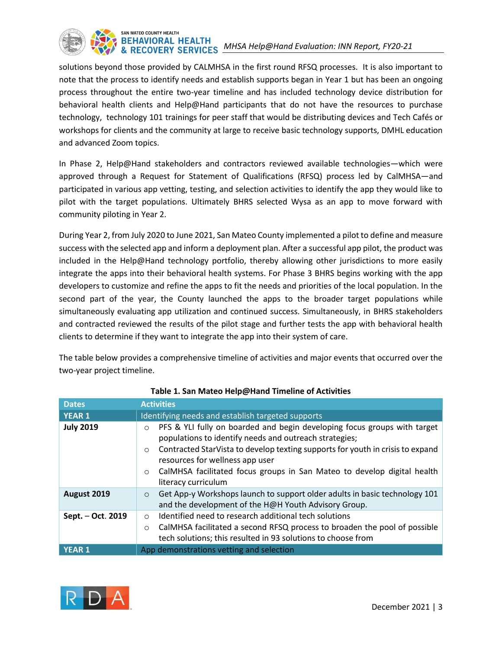

solutions beyond those provided by CALMHSA in the first round RFSQ processes. It is also important to note that the process to identify needs and establish supports began in Year 1 but has been an ongoing process throughout the entire two-year timeline and has included technology device distribution for behavioral health clients and Help@Hand participants that do not have the resources to purchase technology, technology 101 trainings for peer staff that would be distributing devices and Tech Cafés or workshops for clients and the community at large to receive basic technology supports, DMHL education and advanced Zoom topics.

In Phase 2, Help@Hand stakeholders and contractors reviewed available technologies—which were approved through a Request for Statement of Qualifications (RFSQ) process led by CalMHSA—and participated in various app vetting, testing, and selection activities to identify the app they would like to pilot with the target populations. Ultimately BHRS selected Wysa as an app to move forward with community piloting in Year 2.

During Year 2, from July 2020 to June 2021, San Mateo County implemented a pilot to define and measure success with the selected app and inform a deployment plan. After a successful app pilot, the product was included in the Help@Hand technology portfolio, thereby allowing other jurisdictions to more easily integrate the apps into their behavioral health systems. For Phase 3 BHRS begins working with the app developers to customize and refine the apps to fit the needs and priorities of the local population. In the second part of the year, the County launched the apps to the broader target populations while simultaneously evaluating app utilization and continued success. Simultaneously, in BHRS stakeholders and contracted reviewed the results of the pilot stage and further tests the app with behavioral health clients to determine if they want to integrate the app into their system of care.

The table below provides a comprehensive timeline of activities and major events that occurred over the two-year project timeline.

| <b>Dates</b>      | <b>Activities</b>                                                                                                                                                                                                                                                                                                                                                                          |
|-------------------|--------------------------------------------------------------------------------------------------------------------------------------------------------------------------------------------------------------------------------------------------------------------------------------------------------------------------------------------------------------------------------------------|
| <b>YEAR 1</b>     | Identifying needs and establish targeted supports                                                                                                                                                                                                                                                                                                                                          |
| <b>July 2019</b>  | PFS & YLI fully on boarded and begin developing focus groups with target<br>$\circ$<br>populations to identify needs and outreach strategies;<br>Contracted StarVista to develop texting supports for youth in crisis to expand<br>$\circ$<br>resources for wellness app user<br>CalMHSA facilitated focus groups in San Mateo to develop digital health<br>$\circ$<br>literacy curriculum |
| August 2019       | Get App-y Workshops launch to support older adults in basic technology 101<br>$\circ$<br>and the development of the H@H Youth Advisory Group.                                                                                                                                                                                                                                              |
| Sept. - Oct. 2019 | Identified need to research additional tech solutions<br>$\circ$<br>CalMHSA facilitated a second RFSQ process to broaden the pool of possible<br>$\circ$<br>tech solutions; this resulted in 93 solutions to choose from                                                                                                                                                                   |
| YEAR <sub>1</sub> | App demonstrations vetting and selection                                                                                                                                                                                                                                                                                                                                                   |

#### **Table 1. San Mateo Help@Hand Timeline of Activities**

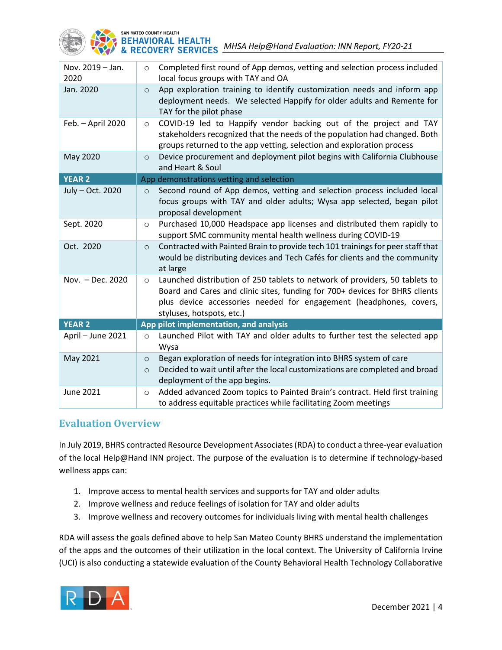

| Nov. 2019 - Jan.<br>2020 | Completed first round of App demos, vetting and selection process included<br>$\circ$<br>local focus groups with TAY and OA                                                                                                                                              |
|--------------------------|--------------------------------------------------------------------------------------------------------------------------------------------------------------------------------------------------------------------------------------------------------------------------|
| Jan. 2020                | App exploration training to identify customization needs and inform app<br>$\circ$<br>deployment needs. We selected Happify for older adults and Remente for<br>TAY for the pilot phase                                                                                  |
| Feb. - April 2020        | COVID-19 led to Happify vendor backing out of the project and TAY<br>$\circ$<br>stakeholders recognized that the needs of the population had changed. Both<br>groups returned to the app vetting, selection and exploration process                                      |
| May 2020                 | Device procurement and deployment pilot begins with California Clubhouse<br>$\circ$<br>and Heart & Soul                                                                                                                                                                  |
| <b>YEAR 2</b>            | App demonstrations vetting and selection                                                                                                                                                                                                                                 |
| July - Oct. 2020         | Second round of App demos, vetting and selection process included local<br>$\circ$<br>focus groups with TAY and older adults; Wysa app selected, began pilot<br>proposal development                                                                                     |
| Sept. 2020               | Purchased 10,000 Headspace app licenses and distributed them rapidly to<br>$\circ$<br>support SMC community mental health wellness during COVID-19                                                                                                                       |
| Oct. 2020                | Contracted with Painted Brain to provide tech 101 trainings for peer staff that<br>$\circ$<br>would be distributing devices and Tech Cafés for clients and the community<br>at large                                                                                     |
| Nov. - Dec. 2020         | Launched distribution of 250 tablets to network of providers, 50 tablets to<br>$\circ$<br>Board and Cares and clinic sites, funding for 700+ devices for BHRS clients<br>plus device accessories needed for engagement (headphones, covers,<br>styluses, hotspots, etc.) |
| <b>YEAR 2</b>            | App pilot implementation, and analysis                                                                                                                                                                                                                                   |
| April - June 2021        | Launched Pilot with TAY and older adults to further test the selected app<br>$\circ$<br>Wysa                                                                                                                                                                             |
| May 2021                 | Began exploration of needs for integration into BHRS system of care<br>$\circ$<br>Decided to wait until after the local customizations are completed and broad<br>$\circ$<br>deployment of the app begins.                                                               |
| <b>June 2021</b>         | Added advanced Zoom topics to Painted Brain's contract. Held first training<br>O<br>to address equitable practices while facilitating Zoom meetings                                                                                                                      |

## **Evaluation Overview**

In July 2019, BHRS contracted Resource Development Associates (RDA) to conduct a three-year evaluation of the local Help@Hand INN project. The purpose of the evaluation is to determine if technology-based wellness apps can:

- 1. Improve access to mental health services and supports for TAY and older adults
- 2. Improve wellness and reduce feelings of isolation for TAY and older adults
- 3. Improve wellness and recovery outcomes for individuals living with mental health challenges

RDA will assess the goals defined above to help San Mateo County BHRS understand the implementation of the apps and the outcomes of their utilization in the local context. The University of California Irvine (UCI) is also conducting a statewide evaluation of the County Behavioral Health Technology Collaborative

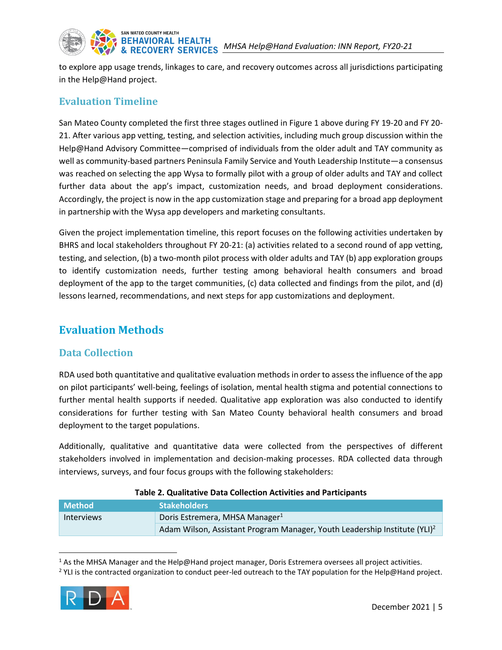

## SAN MATEO COUNTY HEALTH

to explore app usage trends, linkages to care, and recovery outcomes across all jurisdictions participating in the Help@Hand project.

## **Evaluation Timeline**

San Mateo County completed the first three stages outlined in Figure 1 above during FY 19-20 and FY 20- 21. After various app vetting, testing, and selection activities, including much group discussion within the Help@Hand Advisory Committee—comprised of individuals from the older adult and TAY community as well as community-based partners Peninsula Family Service and Youth Leadership Institute—a consensus was reached on selecting the app Wysa to formally pilot with a group of older adults and TAY and collect further data about the app's impact, customization needs, and broad deployment considerations. Accordingly, the project is now in the app customization stage and preparing for a broad app deployment in partnership with the Wysa app developers and marketing consultants.

Given the project implementation timeline, this report focuses on the following activities undertaken by BHRS and local stakeholders throughout FY 20-21: (a) activities related to a second round of app vetting, testing, and selection, (b) a two-month pilot process with older adults and TAY (b) app exploration groups to identify customization needs, further testing among behavioral health consumers and broad deployment of the app to the target communities, (c) data collected and findings from the pilot, and (d) lessons learned, recommendations, and next steps for app customizations and deployment.

## <span id="page-7-0"></span>**Evaluation Methods**

## **Data Collection**

RDA used both quantitative and qualitative evaluation methods in order to assessthe influence of the app on pilot participants' well-being, feelings of isolation, mental health stigma and potential connections to further mental health supports if needed. Qualitative app exploration was also conducted to identify considerations for further testing with San Mateo County behavioral health consumers and broad deployment to the target populations.

Additionally, qualitative and quantitative data were collected from the perspectives of different stakeholders involved in implementation and decision-making processes. RDA collected data through interviews, surveys, and four focus groups with the following stakeholders:

| Table 2. Qualitative Data concetion Activities and Farticipants |                                                                                       |  |
|-----------------------------------------------------------------|---------------------------------------------------------------------------------------|--|
| <b>Method</b>                                                   | <b>Stakeholders</b>                                                                   |  |
| <b>Interviews</b>                                               | Doris Estremera, MHSA Manager <sup>1</sup>                                            |  |
|                                                                 | Adam Wilson, Assistant Program Manager, Youth Leadership Institute (YLI) <sup>2</sup> |  |

#### **Table 2. Qualitative Data Collection Activities and Participants**

<sup>&</sup>lt;sup>2</sup> YLI is the contracted organization to conduct peer-led outreach to the TAY population for the Help@Hand project.



 $<sup>1</sup>$  As the MHSA Manager and the Help@Hand project manager, Doris Estremera oversees all project activities.</sup>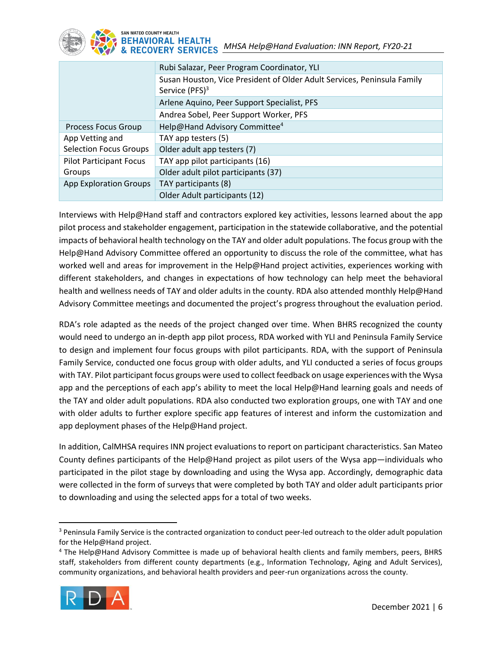

|                                | Rubi Salazar, Peer Program Coordinator, YLI                             |
|--------------------------------|-------------------------------------------------------------------------|
|                                | Susan Houston, Vice President of Older Adult Services, Peninsula Family |
|                                | Service (PFS) <sup>3</sup>                                              |
|                                | Arlene Aquino, Peer Support Specialist, PFS                             |
|                                | Andrea Sobel, Peer Support Worker, PFS                                  |
| <b>Process Focus Group</b>     | Help@Hand Advisory Committee <sup>4</sup>                               |
| App Vetting and                | TAY app testers (5)                                                     |
| <b>Selection Focus Groups</b>  | Older adult app testers (7)                                             |
| <b>Pilot Participant Focus</b> | TAY app pilot participants (16)                                         |
| Groups                         | Older adult pilot participants (37)                                     |
| <b>App Exploration Groups</b>  | TAY participants (8)                                                    |
|                                | Older Adult participants (12)                                           |

Interviews with Help@Hand staff and contractors explored key activities, lessons learned about the app pilot process and stakeholder engagement, participation in the statewide collaborative, and the potential impacts of behavioral health technology on the TAY and older adult populations. The focus group with the Help@Hand Advisory Committee offered an opportunity to discuss the role of the committee, what has worked well and areas for improvement in the Help@Hand project activities, experiences working with different stakeholders, and changes in expectations of how technology can help meet the behavioral health and wellness needs of TAY and older adults in the county. RDA also attended monthly Help@Hand Advisory Committee meetings and documented the project's progress throughout the evaluation period.

RDA's role adapted as the needs of the project changed over time. When BHRS recognized the county would need to undergo an in-depth app pilot process, RDA worked with YLI and Peninsula Family Service to design and implement four focus groups with pilot participants. RDA, with the support of Peninsula Family Service, conducted one focus group with older adults, and YLI conducted a series of focus groups with TAY. Pilot participant focus groups were used to collect feedback on usage experiences with the Wysa app and the perceptions of each app's ability to meet the local Help@Hand learning goals and needs of the TAY and older adult populations. RDA also conducted two exploration groups, one with TAY and one with older adults to further explore specific app features of interest and inform the customization and app deployment phases of the Help@Hand project.

In addition, CalMHSA requires INN project evaluations to report on participant characteristics. San Mateo County defines participants of the Help@Hand project as pilot users of the Wysa app—individuals who participated in the pilot stage by downloading and using the Wysa app. Accordingly, demographic data were collected in the form of surveys that were completed by both TAY and older adult participants prior to downloading and using the selected apps for a total of two weeks.

<sup>4</sup> The Help@Hand Advisory Committee is made up of behavioral health clients and family members, peers, BHRS staff, stakeholders from different county departments (e.g., Information Technology, Aging and Adult Services), community organizations, and behavioral health providers and peer-run organizations across the county.



<sup>&</sup>lt;sup>3</sup> Peninsula Family Service is the contracted organization to conduct peer-led outreach to the older adult population for the Help@Hand project.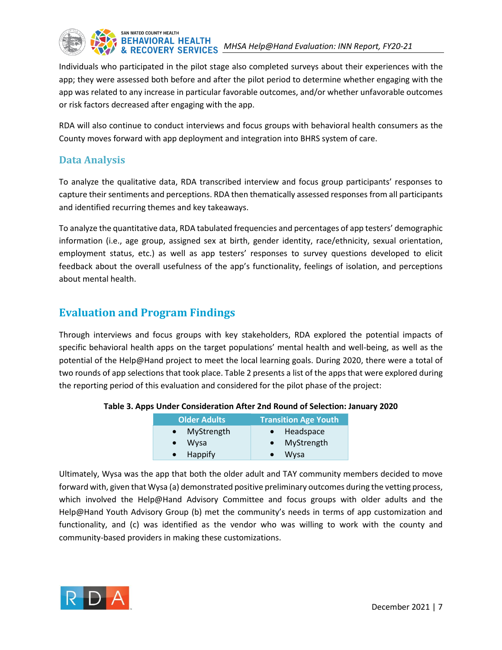

Individuals who participated in the pilot stage also completed surveys about their experiences with the app; they were assessed both before and after the pilot period to determine whether engaging with the app was related to any increase in particular favorable outcomes, and/or whether unfavorable outcomes or risk factors decreased after engaging with the app.

RDA will also continue to conduct interviews and focus groups with behavioral health consumers as the County moves forward with app deployment and integration into BHRS system of care.

## **Data Analysis**

To analyze the qualitative data, RDA transcribed interview and focus group participants' responses to capture their sentiments and perceptions. RDA then thematically assessed responses from all participants and identified recurring themes and key takeaways.

To analyze the quantitative data, RDA tabulated frequencies and percentages of app testers' demographic information (i.e., age group, assigned sex at birth, gender identity, race/ethnicity, sexual orientation, employment status, etc.) as well as app testers' responses to survey questions developed to elicit feedback about the overall usefulness of the app's functionality, feelings of isolation, and perceptions about mental health.

## <span id="page-9-0"></span>**Evaluation and Program Findings**

Through interviews and focus groups with key stakeholders, RDA explored the potential impacts of specific behavioral health apps on the target populations' mental health and well-being, as well as the potential of the Help@Hand project to meet the local learning goals. During 2020, there were a total of two rounds of app selections that took place. Table 2 presents a list of the apps that were explored during the reporting period of this evaluation and considered for the pilot phase of the project:

| <b>Older Adults</b> | <b>Transition Age Youth</b> |
|---------------------|-----------------------------|
| • MyStrength        | • Headspace                 |
| $\bullet$ Wysa      | • MyStrength                |
| • Happify           | Wysa                        |

#### **Table 3. Apps Under Consideration After 2nd Round of Selection: January 2020**

Ultimately, Wysa was the app that both the older adult and TAY community members decided to move forward with, given that Wysa (a) demonstrated positive preliminary outcomes during the vetting process, which involved the Help@Hand Advisory Committee and focus groups with older adults and the Help@Hand Youth Advisory Group (b) met the community's needs in terms of app customization and functionality, and (c) was identified as the vendor who was willing to work with the county and community-based providers in making these customizations.

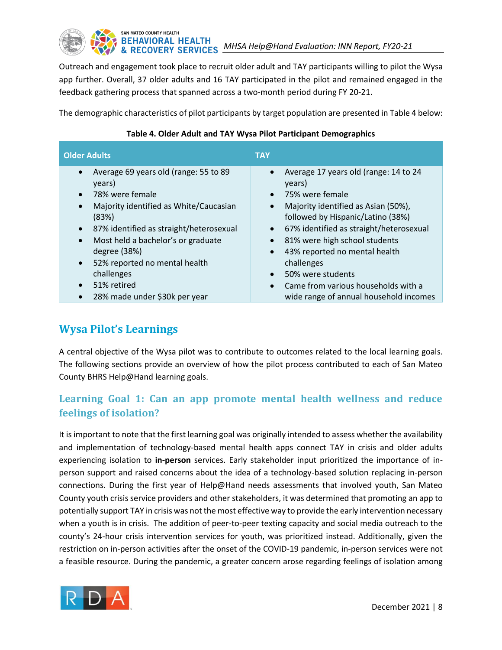# BEHAVIORAL HEALTH<br>& RECOVERY SERVICES MHSA Help@Hand Evaluation: INN Report, FY20-21

Outreach and engagement took place to recruit older adult and TAY participants willing to pilot the Wysa app further. Overall, 37 older adults and 16 TAY participated in the pilot and remained engaged in the feedback gathering process that spanned across a two-month period during FY 20-21.

<span id="page-10-0"></span>The demographic characteristics of pilot participants by target population are presented i[n Table 4](#page-10-0) below:

| <b>Older Adults</b>                                                                                                                                                                                                                                                                                                       | <b>TAY</b>                                                                                                                                                                                                                                                                                                                                         |
|---------------------------------------------------------------------------------------------------------------------------------------------------------------------------------------------------------------------------------------------------------------------------------------------------------------------------|----------------------------------------------------------------------------------------------------------------------------------------------------------------------------------------------------------------------------------------------------------------------------------------------------------------------------------------------------|
| Average 69 years old (range: 55 to 89<br>$\bullet$<br>years)<br>78% were female<br>Majority identified as White/Caucasian<br>$\bullet$<br>(83%)<br>87% identified as straight/heterosexual<br>$\bullet$<br>Most held a bachelor's or graduate<br>$\bullet$<br>degree (38%)<br>52% reported no mental health<br>challenges | Average 17 years old (range: 14 to 24<br>years)<br>75% were female<br>$\bullet$<br>Majority identified as Asian (50%),<br>$\bullet$<br>followed by Hispanic/Latino (38%)<br>67% identified as straight/heterosexual<br>81% were high school students<br>43% reported no mental health<br>$\bullet$<br>challenges<br>50% were students<br>$\bullet$ |
| 51% retired<br>$\bullet$                                                                                                                                                                                                                                                                                                  | Came from various households with a<br>$\bullet$                                                                                                                                                                                                                                                                                                   |
| 28% made under \$30k per year                                                                                                                                                                                                                                                                                             | wide range of annual household incomes                                                                                                                                                                                                                                                                                                             |

#### **Table 4. Older Adult and TAY Wysa Pilot Participant Demographics**

## **Wysa Pilot's Learnings**

A central objective of the Wysa pilot was to contribute to outcomes related to the local learning goals. The following sections provide an overview of how the pilot process contributed to each of San Mateo County BHRS Help@Hand learning goals.

## **Learning Goal 1: Can an app promote mental health wellness and reduce feelings of isolation?**

It is important to note that the first learning goal was originally intended to assess whether the availability and implementation of technology-based mental health apps connect TAY in crisis and older adults experiencing isolation to **in-person** services. Early stakeholder input prioritized the importance of inperson support and raised concerns about the idea of a technology-based solution replacing in-person connections. During the first year of Help@Hand needs assessments that involved youth, San Mateo County youth crisis service providers and other stakeholders, it was determined that promoting an app to potentially support TAY in crisis was not the most effective way to provide the early intervention necessary when a youth is in crisis. The addition of peer-to-peer texting capacity and social media outreach to the county's 24-hour crisis intervention services for youth, was prioritized instead. Additionally, given the restriction on in-person activities after the onset of the COVID-19 pandemic, in-person services were not a feasible resource. During the pandemic, a greater concern arose regarding feelings of isolation among

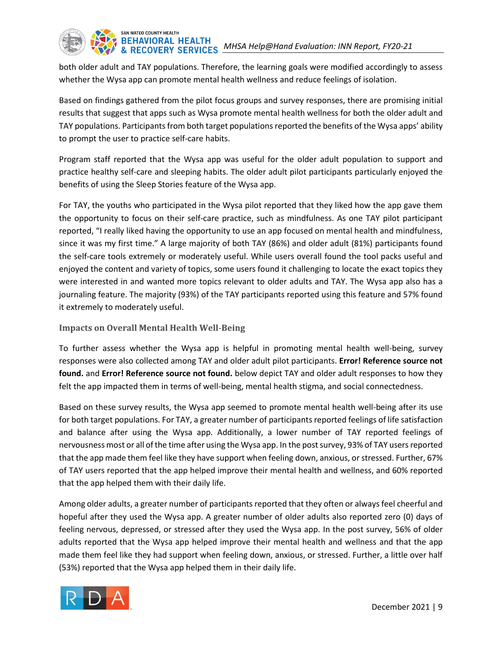both older adult and TAY populations. Therefore, the learning goals were modified accordingly to assess whether the Wysa app can promote mental health wellness and reduce feelings of isolation.

Based on findings gathered from the pilot focus groups and survey responses, there are promising initial results that suggest that apps such as Wysa promote mental health wellness for both the older adult and TAY populations. Participants from both target populations reported the benefits of the Wysa apps' ability to prompt the user to practice self-care habits.

Program staff reported that the Wysa app was useful for the older adult population to support and practice healthy self-care and sleeping habits. The older adult pilot participants particularly enjoyed the benefits of using the Sleep Stories feature of the Wysa app.

For TAY, the youths who participated in the Wysa pilot reported that they liked how the app gave them the opportunity to focus on their self-care practice, such as mindfulness. As one TAY pilot participant reported, "I really liked having the opportunity to use an app focused on mental health and mindfulness, since it was my first time." A large majority of both TAY (86%) and older adult (81%) participants found the self-care tools extremely or moderately useful. While users overall found the tool packs useful and enjoyed the content and variety of topics, some users found it challenging to locate the exact topics they were interested in and wanted more topics relevant to older adults and TAY. The Wysa app also has a journaling feature. The majority (93%) of the TAY participants reported using this feature and 57% found it extremely to moderately useful.

#### **Impacts on Overall Mental Health Well-Being**

To further assess whether the Wysa app is helpful in promoting mental health well-being, survey responses were also collected among TAY and older adult pilot participants. **Error! Reference source not found.** and **Error! Reference source not found.** below depict TAY and older adult responses to how they felt the app impacted them in terms of well-being, mental health stigma, and social connectedness.

Based on these survey results, the Wysa app seemed to promote mental health well-being after its use for both target populations. For TAY, a greater number of participants reported feelings of life satisfaction and balance after using the Wysa app. Additionally, a lower number of TAY reported feelings of nervousness most or all of the time after using the Wysa app. In the post survey, 93% of TAY users reported that the app made them feel like they have support when feeling down, anxious, or stressed. Further, 67% of TAY users reported that the app helped improve their mental health and wellness, and 60% reported that the app helped them with their daily life.

Among older adults, a greater number of participants reported that they often or always feel cheerful and hopeful after they used the Wysa app. A greater number of older adults also reported zero (0) days of feeling nervous, depressed, or stressed after they used the Wysa app. In the post survey, 56% of older adults reported that the Wysa app helped improve their mental health and wellness and that the app made them feel like they had support when feeling down, anxious, or stressed. Further, a little over half (53%) reported that the Wysa app helped them in their daily life.

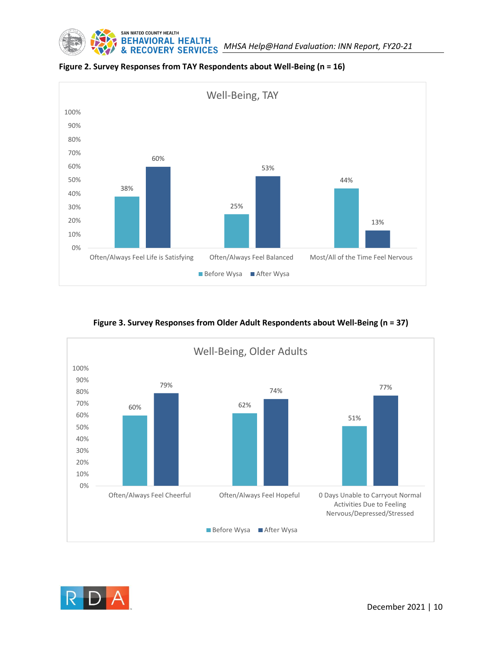



**Figure 2. Survey Responses from TAY Respondents about Well-Being (n = 16)**

#### **Figure 3. Survey Responses from Older Adult Respondents about Well-Being (n = 37)**



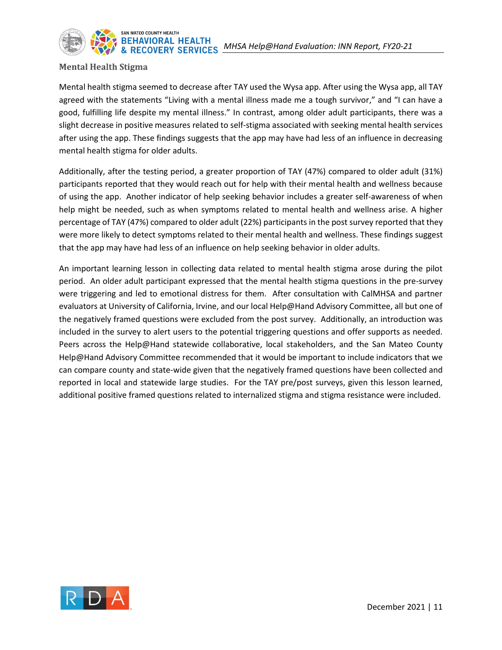

#### **Mental Health Stigma**

Mental health stigma seemed to decrease after TAY used the Wysa app. After using the Wysa app, all TAY agreed with the statements "Living with a mental illness made me a tough survivor," and "I can have a good, fulfilling life despite my mental illness." In contrast, among older adult participants, there was a slight decrease in positive measures related to self-stigma associated with seeking mental health services after using the app. These findings suggests that the app may have had less of an influence in decreasing mental health stigma for older adults.

Additionally, after the testing period, a greater proportion of TAY (47%) compared to older adult (31%) participants reported that they would reach out for help with their mental health and wellness because of using the app. Another indicator of help seeking behavior includes a greater self-awareness of when help might be needed, such as when symptoms related to mental health and wellness arise. A higher percentage of TAY (47%) compared to older adult (22%) participants in the post survey reported that they were more likely to detect symptoms related to their mental health and wellness. These findings suggest that the app may have had less of an influence on help seeking behavior in older adults.

An important learning lesson in collecting data related to mental health stigma arose during the pilot period. An older adult participant expressed that the mental health stigma questions in the pre-survey were triggering and led to emotional distress for them. After consultation with CalMHSA and partner evaluators at University of California, Irvine, and our local Help@Hand Advisory Committee, all but one of the negatively framed questions were excluded from the post survey. Additionally, an introduction was included in the survey to alert users to the potential triggering questions and offer supports as needed. Peers across the Help@Hand statewide collaborative, local stakeholders, and the San Mateo County Help@Hand Advisory Committee recommended that it would be important to include indicators that we can compare county and state-wide given that the negatively framed questions have been collected and reported in local and statewide large studies. For the TAY pre/post surveys, given this lesson learned, additional positive framed questions related to internalized stigma and stigma resistance were included.

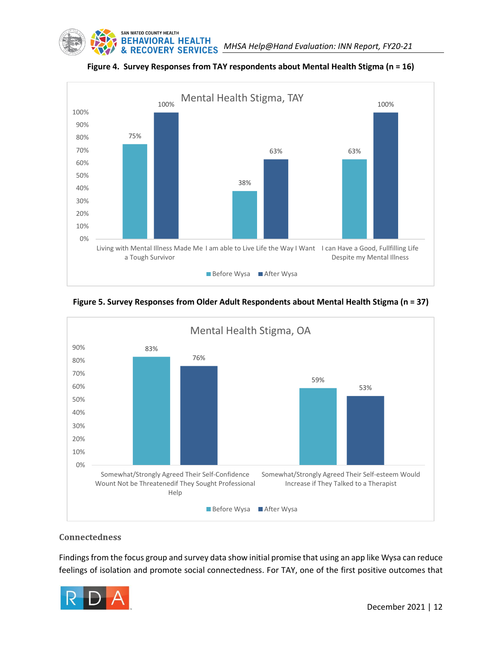



**Figure 4. Survey Responses from TAY respondents about Mental Health Stigma (n = 16)**

**Figure 5. Survey Responses from Older Adult Respondents about Mental Health Stigma (n = 37)**



#### **Connectedness**

Findings from the focus group and survey data show initial promise that using an app like Wysa can reduce feelings of isolation and promote social connectedness. For TAY, one of the first positive outcomes that

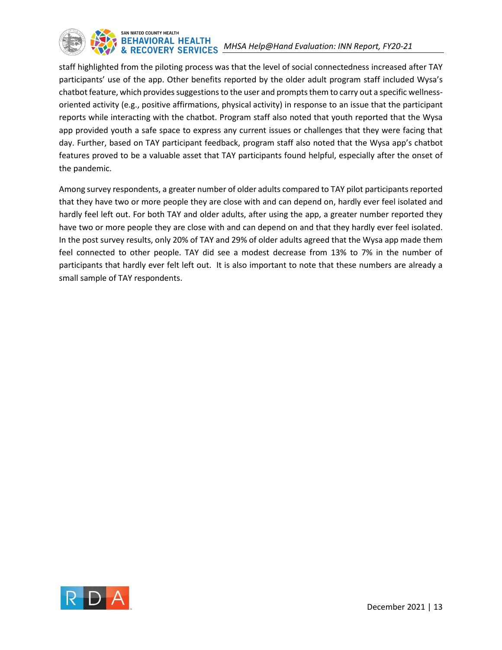

staff highlighted from the piloting process was that the level of social connectedness increased after TAY participants' use of the app. Other benefits reported by the older adult program staff included Wysa's chatbot feature, which provides suggestions to the user and prompts them to carry out a specific wellnessoriented activity (e.g., positive affirmations, physical activity) in response to an issue that the participant reports while interacting with the chatbot. Program staff also noted that youth reported that the Wysa app provided youth a safe space to express any current issues or challenges that they were facing that day. Further, based on TAY participant feedback, program staff also noted that the Wysa app's chatbot features proved to be a valuable asset that TAY participants found helpful, especially after the onset of the pandemic.

Among survey respondents, a greater number of older adults compared to TAY pilot participants reported that they have two or more people they are close with and can depend on, hardly ever feel isolated and hardly feel left out. For both TAY and older adults, after using the app, a greater number reported they have two or more people they are close with and can depend on and that they hardly ever feel isolated. In the post survey results, only 20% of TAY and 29% of older adults agreed that the Wysa app made them feel connected to other people. TAY did see a modest decrease from 13% to 7% in the number of participants that hardly ever felt left out. It is also important to note that these numbers are already a small sample of TAY respondents.

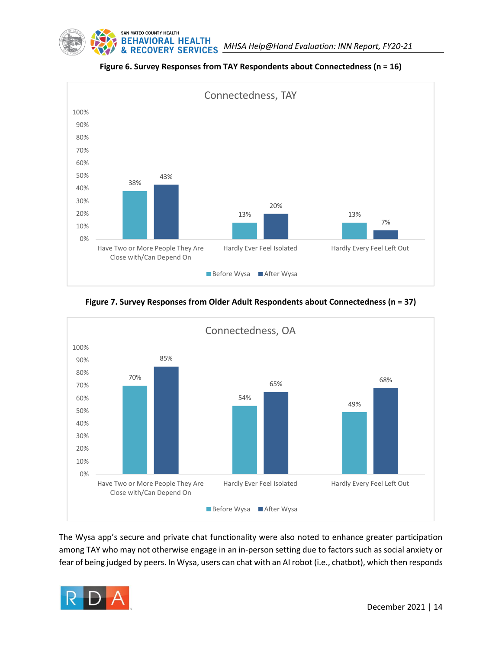



**Figure 6. Survey Responses from TAY Respondents about Connectedness (n = 16)**

**Figure 7. Survey Responses from Older Adult Respondents about Connectedness (n = 37)**



The Wysa app's secure and private chat functionality were also noted to enhance greater participation among TAY who may not otherwise engage in an in-person setting due to factors such as social anxiety or fear of being judged by peers. In Wysa, users can chat with an AI robot (i.e., chatbot), which then responds

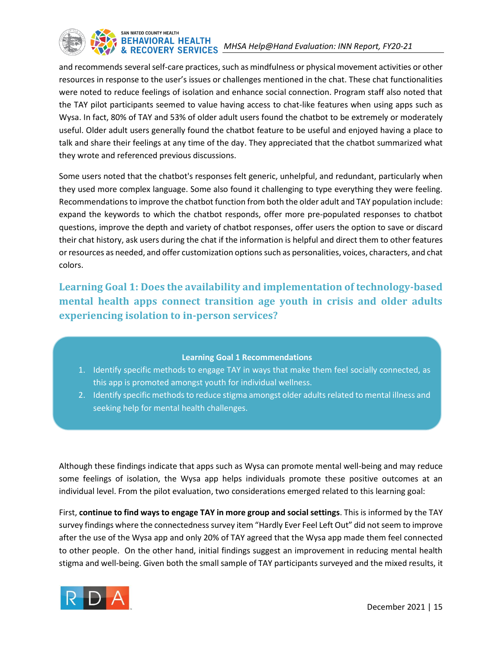

and recommends several self-care practices, such as mindfulness or physical movement activities or other resources in response to the user's issues or challenges mentioned in the chat. These chat functionalities were noted to reduce feelings of isolation and enhance social connection. Program staff also noted that the TAY pilot participants seemed to value having access to chat-like features when using apps such as Wysa. In fact, 80% of TAY and 53% of older adult users found the chatbot to be extremely or moderately useful. Older adult users generally found the chatbot feature to be useful and enjoyed having a place to talk and share their feelings at any time of the day. They appreciated that the chatbot summarized what they wrote and referenced previous discussions.

Some users noted that the chatbot's responses felt generic, unhelpful, and redundant, particularly when they used more complex language. Some also found it challenging to type everything they were feeling. Recommendations to improve the chatbot function from both the older adult and TAY population include: expand the keywords to which the chatbot responds, offer more pre-populated responses to chatbot questions, improve the depth and variety of chatbot responses, offer users the option to save or discard their chat history, ask users during the chat if the information is helpful and direct them to other features or resources as needed, and offer customization optionssuch as personalities, voices, characters, and chat colors.

**Learning Goal 1: Does the availability and implementation of technology-based mental health apps connect transition age youth in crisis and older adults experiencing isolation to in-person services?**

#### **Learning Goal 1 Recommendations**

- 1. Identify specific methods to engage TAY in ways that make them feel socially connected, as this app is promoted amongst youth for individual wellness.
- 2. Identify specific methods to reduce stigma amongst older adults related to mental illness and seeking help for mental health challenges.

Although these findings indicate that apps such as Wysa can promote mental well-being and may reduce some feelings of isolation, the Wysa app helps individuals promote these positive outcomes at an individual level. From the pilot evaluation, two considerations emerged related to this learning goal:

First, **continue to find ways to engage TAY in more group and social settings**. This is informed by the TAY survey findings where the connectedness survey item "Hardly Ever Feel Left Out" did not seem to improve after the use of the Wysa app and only 20% of TAY agreed that the Wysa app made them feel connected to other people. On the other hand, initial findings suggest an improvement in reducing mental health stigma and well-being. Given both the small sample of TAY participants surveyed and the mixed results, it

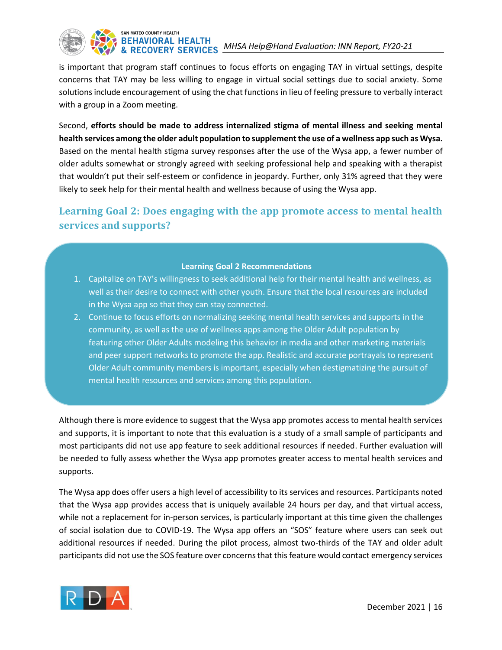

is important that program staff continues to focus efforts on engaging TAY in virtual settings, despite concerns that TAY may be less willing to engage in virtual social settings due to social anxiety. Some solutions include encouragement of using the chat functions in lieu of feeling pressure to verbally interact with a group in a Zoom meeting.

Second, **efforts should be made to address internalized stigma of mental illness and seeking mental health services among the older adult population to supplement the use of a wellness app such as Wysa.** Based on the mental health stigma survey responses after the use of the Wysa app, a fewer number of older adults somewhat or strongly agreed with seeking professional help and speaking with a therapist that wouldn't put their self-esteem or confidence in jeopardy. Further, only 31% agreed that they were likely to seek help for their mental health and wellness because of using the Wysa app.

## **Learning Goal 2: Does engaging with the app promote access to mental health services and supports?**

#### **Learning Goal 2 Recommendations**

- 1. Capitalize on TAY's willingness to seek additional help for their mental health and wellness, as well as their desire to connect with other youth. Ensure that the local resources are included in the Wysa app so that they can stay connected.
- 2. Continue to focus efforts on normalizing seeking mental health services and supports in the community, as well as the use of wellness apps among the Older Adult population by featuring other Older Adults modeling this behavior in media and other marketing materials and peer support networks to promote the app. Realistic and accurate portrayals to represent Older Adult community members is important, especially when destigmatizing the pursuit of mental health resources and services among this population.

Although there is more evidence to suggest that the Wysa app promotes access to mental health services and supports, it is important to note that this evaluation is a study of a small sample of participants and most participants did not use app feature to seek additional resources if needed. Further evaluation will be needed to fully assess whether the Wysa app promotes greater access to mental health services and supports.

The Wysa app does offer users a high level of accessibility to its services and resources. Participants noted that the Wysa app provides access that is uniquely available 24 hours per day, and that virtual access, while not a replacement for in-person services, is particularly important at this time given the challenges of social isolation due to COVID-19. The Wysa app offers an "SOS" feature where users can seek out additional resources if needed. During the pilot process, almost two-thirds of the TAY and older adult participants did not use the SOS feature over concerns that this feature would contact emergency services

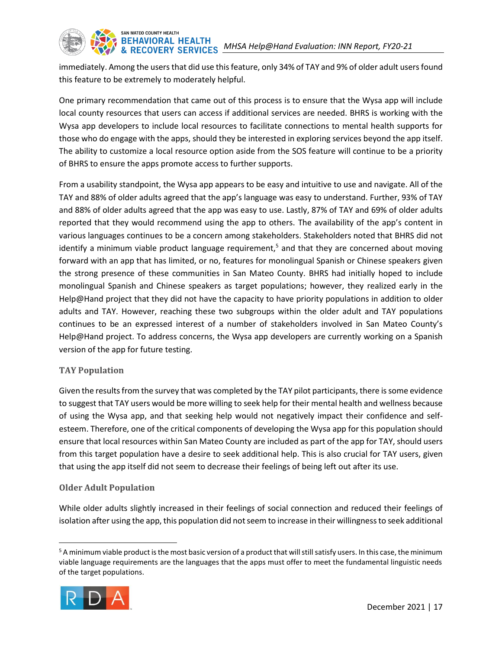

SAN MATEO COUNTY HEALTH

immediately. Among the users that did use this feature, only 34% of TAY and 9% of older adult users found this feature to be extremely to moderately helpful.

One primary recommendation that came out of this process is to ensure that the Wysa app will include local county resources that users can access if additional services are needed. BHRS is working with the Wysa app developers to include local resources to facilitate connections to mental health supports for those who do engage with the apps, should they be interested in exploring services beyond the app itself. The ability to customize a local resource option aside from the SOS feature will continue to be a priority of BHRS to ensure the apps promote access to further supports.

From a usability standpoint, the Wysa app appears to be easy and intuitive to use and navigate. All of the TAY and 88% of older adults agreed that the app's language was easy to understand. Further, 93% of TAY and 88% of older adults agreed that the app was easy to use. Lastly, 87% of TAY and 69% of older adults reported that they would recommend using the app to others. The availability of the app's content in various languages continues to be a concern among stakeholders. Stakeholders noted that BHRS did not identify a minimum viable product language requirement,<sup>5</sup> and that they are concerned about moving forward with an app that has limited, or no, features for monolingual Spanish or Chinese speakers given the strong presence of these communities in San Mateo County. BHRS had initially hoped to include monolingual Spanish and Chinese speakers as target populations; however, they realized early in the Help@Hand project that they did not have the capacity to have priority populations in addition to older adults and TAY. However, reaching these two subgroups within the older adult and TAY populations continues to be an expressed interest of a number of stakeholders involved in San Mateo County's Help@Hand project. To address concerns, the Wysa app developers are currently working on a Spanish version of the app for future testing.

#### **TAY Population**

Given the results from the survey that was completed by the TAY pilot participants, there is some evidence to suggest that TAY users would be more willing to seek help for their mental health and wellness because of using the Wysa app, and that seeking help would not negatively impact their confidence and selfesteem. Therefore, one of the critical components of developing the Wysa app for this population should ensure that local resources within San Mateo County are included as part of the app for TAY, should users from this target population have a desire to seek additional help. This is also crucial for TAY users, given that using the app itself did not seem to decrease their feelings of being left out after its use.

#### **Older Adult Population**

While older adults slightly increased in their feelings of social connection and reduced their feelings of isolation after using the app, this population did not seem to increase in their willingness to seek additional

<sup>&</sup>lt;sup>5</sup> A minimum viable product is the most basic version of a product that will still satisfy users. In this case, the minimum viable language requirements are the languages that the apps must offer to meet the fundamental linguistic needs of the target populations.

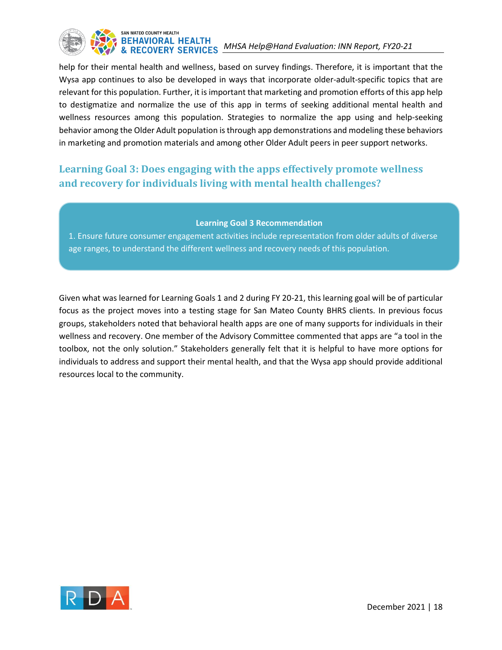## SAN MATEO COUNTY HEALTH BEHAVIORAL HEALTH<br>& RECOVERY SERVICES MHSA Help@Hand Evaluation: INN Report, FY20-21

help for their mental health and wellness, based on survey findings. Therefore, it is important that the Wysa app continues to also be developed in ways that incorporate older-adult-specific topics that are relevant for this population. Further, it is important that marketing and promotion efforts of this app help to destigmatize and normalize the use of this app in terms of seeking additional mental health and wellness resources among this population. Strategies to normalize the app using and help-seeking behavior among the Older Adult population is through app demonstrations and modeling these behaviors in marketing and promotion materials and among other Older Adult peers in peer support networks.

## <span id="page-20-0"></span>**Learning Goal 3: Does engaging with the apps effectively promote wellness and recovery for individuals living with mental health challenges?**

#### **Learning Goal 3 Recommendation**

1. Ensure future consumer engagement activities include representation from older adults of diverse age ranges, to understand the different wellness and recovery needs of this population.

Given what was learned for Learning Goals 1 and 2 during FY 20-21, this learning goal will be of particular focus as the project moves into a testing stage for San Mateo County BHRS clients. In previous focus groups, stakeholders noted that behavioral health apps are one of many supports for individuals in their wellness and recovery. One member of the Advisory Committee commented that apps are "a tool in the toolbox, not the only solution." Stakeholders generally felt that it is helpful to have more options for individuals to address and support their mental health, and that the Wysa app should provide additional resources local to the community.

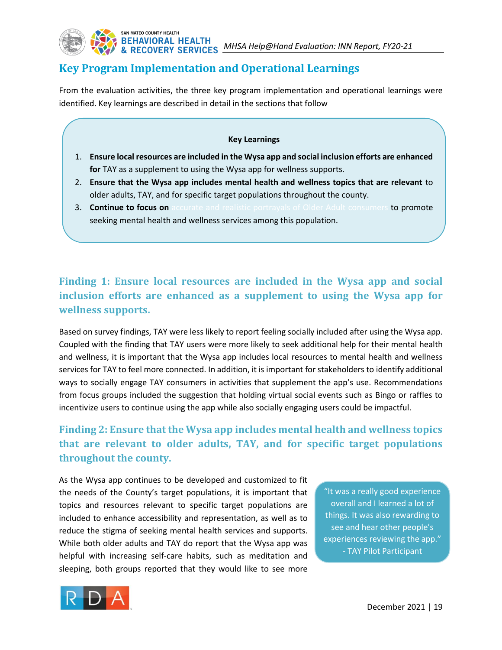## **Key Program Implementation and Operational Learnings**

From the evaluation activities, the three key program implementation and operational learnings were identified. Key learnings are described in detail in the sections that follow

#### **Key Learnings**

- 1. **Ensure local resources are included in the Wysa app and social inclusion efforts are enhanced for** TAY as a supplement to using the Wysa app for wellness supports.
- 2. **Ensure that the Wysa app includes mental health and wellness topics that are relevant** to older adults, TAY, and for specific target populations throughout the county.
- 3. **Continue to focus on** accurate and realistic portrayals of Older Adult consumers to promote seeking mental health and wellness services among this population.

## **Finding 1: Ensure local resources are included in the Wysa app and social inclusion efforts are enhanced as a supplement to using the Wysa app for wellness supports.**

Based on survey findings, TAY were less likely to report feeling socially included after using the Wysa app. Coupled with the finding that TAY users were more likely to seek additional help for their mental health and wellness, it is important that the Wysa app includes local resources to mental health and wellness services for TAY to feel more connected. In addition, it is important for stakeholders to identify additional ways to socially engage TAY consumers in activities that supplement the app's use. Recommendations from focus groups included the suggestion that holding virtual social events such as Bingo or raffles to incentivize users to continue using the app while also socially engaging users could be impactful.

## **Finding 2: Ensure that the Wysa app includes mental health and wellness topics that are relevant to older adults, TAY, and for specific target populations throughout the county.**

As the Wysa app continues to be developed and customized to fit the needs of the County's target populations, it is important that topics and resources relevant to specific target populations are included to enhance accessibility and representation, as well as to reduce the stigma of seeking mental health services and supports. While both older adults and TAY do report that the Wysa app was helpful with increasing self-care habits, such as meditation and sleeping, both groups reported that they would like to see more

"It was a really good experience overall and I learned a lot of things. It was also rewarding to see and hear other people's experiences reviewing the app." - TAY Pilot Participant

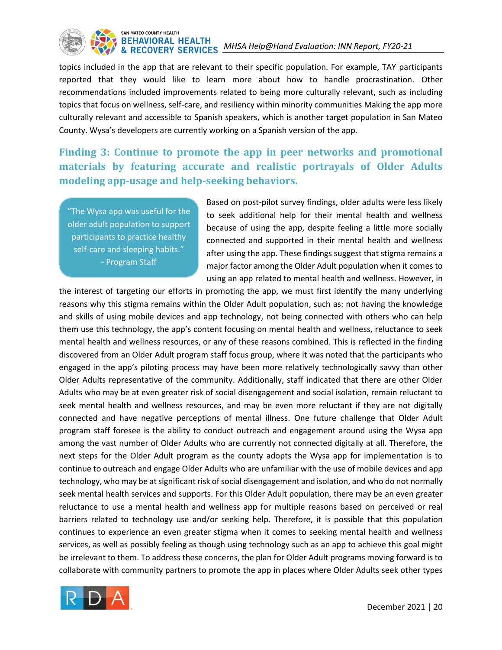## SAN MATEO COUNTY HEALTH BEHAVIORAL HEALTH<br>& RECOVERY SERVICES MHSA Help@Hand Evaluation: INN Report, FY20-21

topics included in the app that are relevant to their specific population. For example, TAY participants reported that they would like to learn more about how to handle procrastination. Other recommendations included improvements related to being more culturally relevant, such as including topics that focus on wellness, self-care, and resiliency within minority communities Making the app more culturally relevant and accessible to Spanish speakers, which is another target population in San Mateo County. Wysa's developers are currently working on a Spanish version of the app.

**Finding 3: Continue to promote the app in peer networks and promotional materials by featuring accurate and realistic portrayals of Older Adults modeling app-usage and help-seeking behaviors.** 

"The Wysa app was useful for the older adult population to support participants to practice healthy self-care and sleeping habits." - Program Staff

Based on post-pilot survey findings, older adults were less likely to seek additional help for their mental health and wellness because of using the app, despite feeling a little more socially connected and supported in their mental health and wellness after using the app. These findings suggest that stigma remains a major factor among the Older Adult population when it comes to using an app related to mental health and wellness. However, in

the interest of targeting our efforts in promoting the app, we must first identify the many underlying reasons why this stigma remains within the Older Adult population, such as: not having the knowledge and skills of using mobile devices and app technology, not being connected with others who can help them use this technology, the app's content focusing on mental health and wellness, reluctance to seek mental health and wellness resources, or any of these reasons combined. This is reflected in the finding discovered from an Older Adult program staff focus group, where it was noted that the participants who engaged in the app's piloting process may have been more relatively technologically savvy than other Older Adults representative of the community. Additionally, staff indicated that there are other Older Adults who may be at even greater risk of social disengagement and social isolation, remain reluctant to seek mental health and wellness resources, and may be even more reluctant if they are not digitally connected and have negative perceptions of mental illness. One future challenge that Older Adult program staff foresee is the ability to conduct outreach and engagement around using the Wysa app among the vast number of Older Adults who are currently not connected digitally at all. Therefore, the next steps for the Older Adult program as the county adopts the Wysa app for implementation is to continue to outreach and engage Older Adults who are unfamiliar with the use of mobile devices and app technology, who may be at significant risk of social disengagement and isolation, and who do not normally seek mental health services and supports. For this Older Adult population, there may be an even greater reluctance to use a mental health and wellness app for multiple reasons based on perceived or real barriers related to technology use and/or seeking help. Therefore, it is possible that this population continues to experience an even greater stigma when it comes to seeking mental health and wellness services, as well as possibly feeling as though using technology such as an app to achieve this goal might be irrelevant to them. To address these concerns, the plan for Older Adult programs moving forward is to collaborate with community partners to promote the app in places where Older Adults seek other types

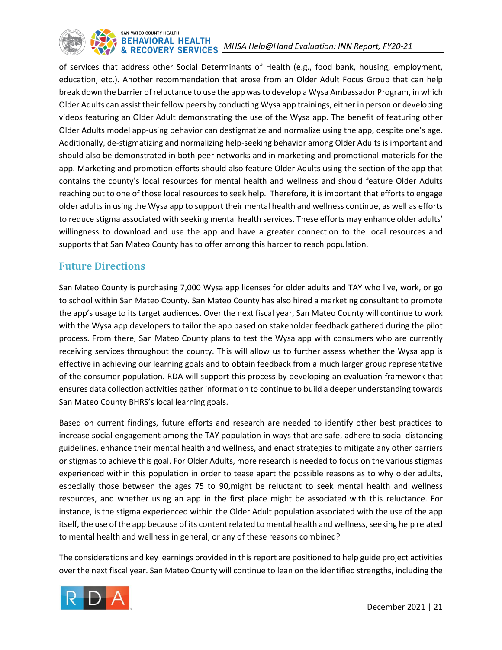

of services that address other Social Determinants of Health (e.g., food bank, housing, employment, education, etc.). Another recommendation that arose from an Older Adult Focus Group that can help break down the barrier of reluctance to use the app was to develop a Wysa Ambassador Program, in which Older Adults can assist their fellow peers by conducting Wysa app trainings, either in person or developing videos featuring an Older Adult demonstrating the use of the Wysa app. The benefit of featuring other Older Adults model app-using behavior can destigmatize and normalize using the app, despite one's age. Additionally, de-stigmatizing and normalizing help-seeking behavior among Older Adults is important and should also be demonstrated in both peer networks and in marketing and promotional materials for the app. Marketing and promotion efforts should also feature Older Adults using the section of the app that contains the county's local resources for mental health and wellness and should feature Older Adults reaching out to one of those local resources to seek help. Therefore, it is important that efforts to engage older adults in using the Wysa app to support their mental health and wellness continue, as well as efforts to reduce stigma associated with seeking mental health services. These efforts may enhance older adults' willingness to download and use the app and have a greater connection to the local resources and supports that San Mateo County has to offer among this harder to reach population.

### **Future Directions**

San Mateo County is purchasing 7,000 Wysa app licenses for older adults and TAY who live, work, or go to school within San Mateo County. San Mateo County has also hired a marketing consultant to promote the app's usage to its target audiences. Over the next fiscal year, San Mateo County will continue to work with the Wysa app developers to tailor the app based on stakeholder feedback gathered during the pilot process. From there, San Mateo County plans to test the Wysa app with consumers who are currently receiving services throughout the county. This will allow us to further assess whether the Wysa app is effective in achieving our learning goals and to obtain feedback from a much larger group representative of the consumer population. RDA will support this process by developing an evaluation framework that ensures data collection activities gather information to continue to build a deeper understanding towards San Mateo County BHRS's local learning goals.

Based on current findings, future efforts and research are needed to identify other best practices to increase social engagement among the TAY population in ways that are safe, adhere to social distancing guidelines, enhance their mental health and wellness, and enact strategies to mitigate any other barriers or stigmas to achieve this goal. For Older Adults, more research is needed to focus on the various stigmas experienced within this population in order to tease apart the possible reasons as to why older adults, especially those between the ages 75 to 90,might be reluctant to seek mental health and wellness resources, and whether using an app in the first place might be associated with this reluctance. For instance, is the stigma experienced within the Older Adult population associated with the use of the app itself, the use of the app because of its content related to mental health and wellness, seeking help related to mental health and wellness in general, or any of these reasons combined?

The considerations and key learnings provided in this report are positioned to help guide project activities over the next fiscal year. San Mateo County will continue to lean on the identified strengths, including the